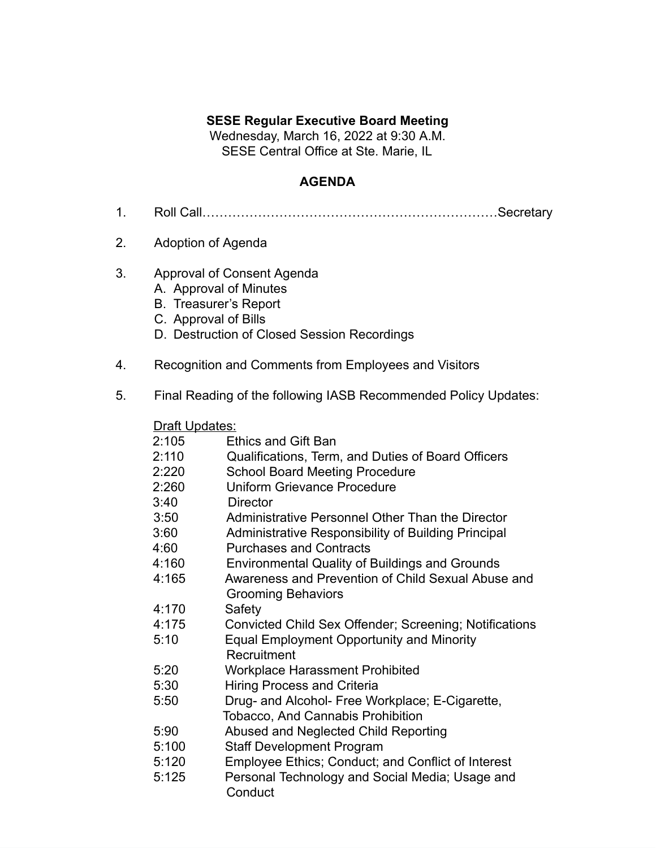## **SESE Regular Executive Board Meeting**

Wednesday, March 16, 2022 at 9:30 A.M. SESE Central Office at Ste. Marie, IL

## **AGENDA**

- 1. Roll Call……………………………………………………………Secretary
- 2. Adoption of Agenda
- 3. Approval of Consent Agenda
	- A. Approval of Minutes
	- B. Treasurer's Report
	- C. Approval of Bills
	- D. Destruction of Closed Session Recordings
- 4. Recognition and Comments from Employees and Visitors
- 5. Final Reading of the following IASB Recommended Policy Updates:

## **Draft Updates:**

| 2:105 | <b>Ethics and Gift Ban</b>                             |
|-------|--------------------------------------------------------|
| 2:110 | Qualifications, Term, and Duties of Board Officers     |
| 2:220 | <b>School Board Meeting Procedure</b>                  |
| 2:260 | <b>Uniform Grievance Procedure</b>                     |
| 3:40  | <b>Director</b>                                        |
| 3:50  | Administrative Personnel Other Than the Director       |
| 3:60  | Administrative Responsibility of Building Principal    |
| 4:60  | <b>Purchases and Contracts</b>                         |
| 4:160 | <b>Environmental Quality of Buildings and Grounds</b>  |
| 4:165 | Awareness and Prevention of Child Sexual Abuse and     |
|       | <b>Grooming Behaviors</b>                              |
| 4:170 | Safety                                                 |
| 4:175 | Convicted Child Sex Offender; Screening; Notifications |
| 5:10  | <b>Equal Employment Opportunity and Minority</b>       |
|       | Recruitment                                            |
| 5:20  | <b>Workplace Harassment Prohibited</b>                 |
| 5:30  | <b>Hiring Process and Criteria</b>                     |
| 5:50  | Drug- and Alcohol- Free Workplace; E-Cigarette,        |
|       | <b>Tobacco, And Cannabis Prohibition</b>               |
| 5:90  | Abused and Neglected Child Reporting                   |
| 5:100 | <b>Staff Development Program</b>                       |
| 5:120 | Employee Ethics; Conduct; and Conflict of Interest     |
| 5:125 | Personal Technology and Social Media; Usage and        |
|       | Conduct                                                |
|       |                                                        |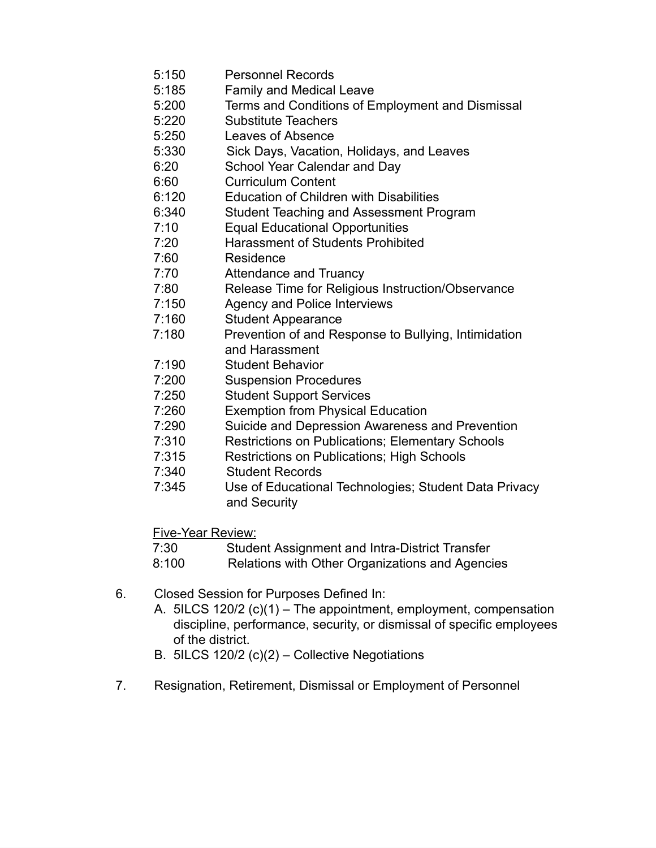- 5:150 Personnel Records
- 5:185 Family and Medical Leave
- 5:200 Terms and Conditions of Employment and Dismissal
- 5:220 Substitute Teachers
- 5:250 Leaves of Absence
- 5:330 Sick Days, Vacation, Holidays, and Leaves
- 6:20 School Year Calendar and Day
- 6:60 Curriculum Content
- 6:120 Education of Children with Disabilities
- 6:340 Student Teaching and Assessment Program
- 7:10 Equal Educational Opportunities
- 7:20 Harassment of Students Prohibited
- 7:60 Residence
- 7:70 Attendance and Truancy
- 7:80 Release Time for Religious Instruction/Observance
- 7:150 Agency and Police Interviews
- 7:160 Student Appearance
- 7:180 Prevention of and Response to Bullying, Intimidation and Harassment
- 7:190 Student Behavior
- 7:200 Suspension Procedures
- 7:250 Student Support Services
- 7:260 Exemption from Physical Education
- 7:290 Suicide and Depression Awareness and Prevention
- 7:310 Restrictions on Publications; Elementary Schools
- 7:315 Restrictions on Publications; High Schools
- 7:340 Student Records
- 7:345 Use of Educational Technologies; Student Data Privacy and Security

Five-Year Review:

- 7:30 Student Assignment and Intra-District Transfer
- 8:100 Relations with Other Organizations and Agencies
- 6. Closed Session for Purposes Defined In:
	- A. 5ILCS 120/2 (c)(1) The appointment, employment, compensation discipline, performance, security, or dismissal of specific employees of the district.
	- B. 5ILCS 120/2 (c)(2) Collective Negotiations
- 7. Resignation, Retirement, Dismissal or Employment of Personnel